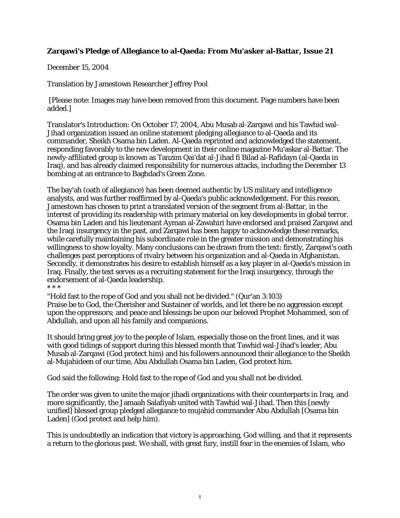## **Zarqawi's Pledge of Allegiance to al-Qaeda: From Mu'asker al-Battar, Issue 21**

December 15, 2004

Translation by Jamestown Researcher Jeffrey Pool

[Please note: Images may have been removed from this document. Page numbers have been added.]

Translator's Introduction: On October 17, 2004, Abu Musab al-Zarqawi and his Tawhid wal-Jihad organization issued an online statement pledging allegiance to al-Qaeda and its commander, Sheikh Osama bin Laden. Al-Qaeda reprinted and acknowledged the statement, responding favorably to the new development in their online magazine Mu'askar al-Battar. The newly-affiliated group is known as Tanzim Qai'dat al-Jihad fi Bilad al-Rafidayn (al-Qaeda in Iraq), and has already claimed responsibility for numerous attacks, including the December 13 bombing at an entrance to Baghdad's Green Zone.

The bay'ah (oath of allegiance) has been deemed authentic by US military and intelligence analysts, and was further reaffirmed by al-Qaeda's public acknowledgement. For this reason, Jamestown has chosen to print a translated version of the segment from al-Battar, in the interest of providing its readership with primary material on key developments in global terror. Osama bin Laden and his lieutenant Ayman al-Zawahiri have endorsed and praised Zarqawi and the Iraqi insurgency in the past, and Zarqawi has been happy to acknowledge these remarks, while carefully maintaining his subordinate role in the greater mission and demonstrating his willingness to show loyalty. Many conclusions can be drawn from the text: firstly, Zarqawi's oath challenges past perceptions of rivalry between his organization and al-Qaeda in Afghanistan. Secondly, it demonstrates his desire to establish himself as a key player in al-Qaeda's mission in Iraq. Finally, the text serves as a recruiting statement for the Iraqi insurgency, through the endorsement of al-Qaeda leadership. \* \* \*

"Hold fast to the rope of God and you shall not be divided." (Qur'an 3:103) Praise be to God, the Cherisher and Sustainer of worlds, and let there be no aggression except upon the oppressors; and peace and blessings be upon our beloved Prophet Mohammed, son of Abdullah, and upon all his family and companions.

It should bring great joy to the people of Islam, especially those on the front lines, and it was with good tidings of support during this blessed month that Tawhid wal-Jihad's leader, Abu Musab al-Zarqawi (God protect him) and his followers announced their allegiance to the Sheikh al-Mujahideen of our time, Abu Abdullah Osama bin Laden, God protect him.

God said the following: Hold fast to the rope of God and you shall not be divided.

The order was given to unite the major jihadi organizations with their counterparts in Iraq, and more significantly, the Jamaah Salafiyah united with Tawhid wal-Jihad. Then this [newly unified] blessed group pledged allegiance to mujahid commander Abu Abdullah [Osama bin Laden] (God protect and help him).

This is undoubtedly an indication that victory is approaching, God willing, and that it represents a return to the glorious past. We shall, with great fury, instill fear in the enemies of Islam, who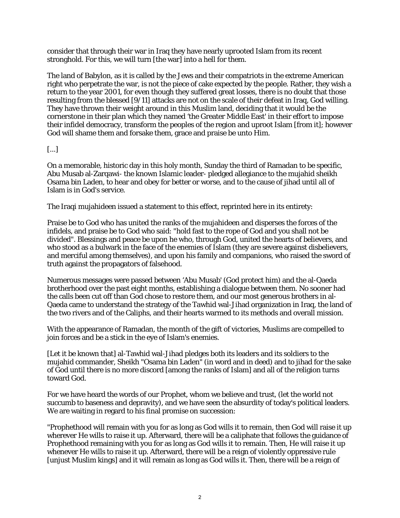consider that through their war in Iraq they have nearly uprooted Islam from its recent stronghold. For this, we will turn [the war] into a hell for them.

The land of Babylon, as it is called by the Jews and their compatriots in the extreme American right who perpetrate the war, is not the piece of cake expected by the people. Rather, they wish a return to the year 2001, for even though they suffered great losses, there is no doubt that those resulting from the blessed [9/11] attacks are not on the scale of their defeat in Iraq, God willing. They have thrown their weight around in this Muslim land, deciding that it would be the cornerstone in their plan which they named 'the Greater Middle East' in their effort to impose their infidel democracy, transform the peoples of the region and uproot Islam [from it]; however God will shame them and forsake them, grace and praise be unto Him.

## [...]

On a memorable, historic day in this holy month, Sunday the third of Ramadan to be specific, Abu Musab al-Zarqawi- the known Islamic leader- pledged allegiance to the mujahid sheikh Osama bin Laden, to hear and obey for better or worse, and to the cause of jihad until all of Islam is in God's service.

The Iraqi mujahideen issued a statement to this effect, reprinted here in its entirety:

Praise be to God who has united the ranks of the mujahideen and disperses the forces of the infidels, and praise be to God who said: "hold fast to the rope of God and you shall not be divided". Blessings and peace be upon he who, through God, united the hearts of believers, and who stood as a bulwark in the face of the enemies of Islam (they are severe against disbelievers, and merciful among themselves), and upon his family and companions, who raised the sword of truth against the propagators of falsehood.

Numerous messages were passed between 'Abu Musab' (God protect him) and the al-Qaeda brotherhood over the past eight months, establishing a dialogue between them. No sooner had the calls been cut off than God chose to restore them, and our most generous brothers in al-Qaeda came to understand the strategy of the Tawhid wal-Jihad organization in Iraq, the land of the two rivers and of the Caliphs, and their hearts warmed to its methods and overall mission.

With the appearance of Ramadan, the month of the gift of victories, Muslims are compelled to join forces and be a stick in the eye of Islam's enemies.

[Let it be known that] al-Tawhid wal-Jihad pledges both its leaders and its soldiers to the mujahid commander, Sheikh "Osama bin Laden" (in word and in deed) and to jihad for the sake of God until there is no more discord [among the ranks of Islam] and all of the religion turns toward God.

For we have heard the words of our Prophet, whom we believe and trust, (let the world not succumb to baseness and depravity), and we have seen the absurdity of today's political leaders. We are waiting in regard to his final promise on succession:

"Prophethood will remain with you for as long as God wills it to remain, then God will raise it up wherever He wills to raise it up. Afterward, there will be a caliphate that follows the guidance of Prophethood remaining with you for as long as God wills it to remain. Then, He will raise it up whenever He wills to raise it up. Afterward, there will be a reign of violently oppressive rule [unjust Muslim kings] and it will remain as long as God wills it. Then, there will be a reign of